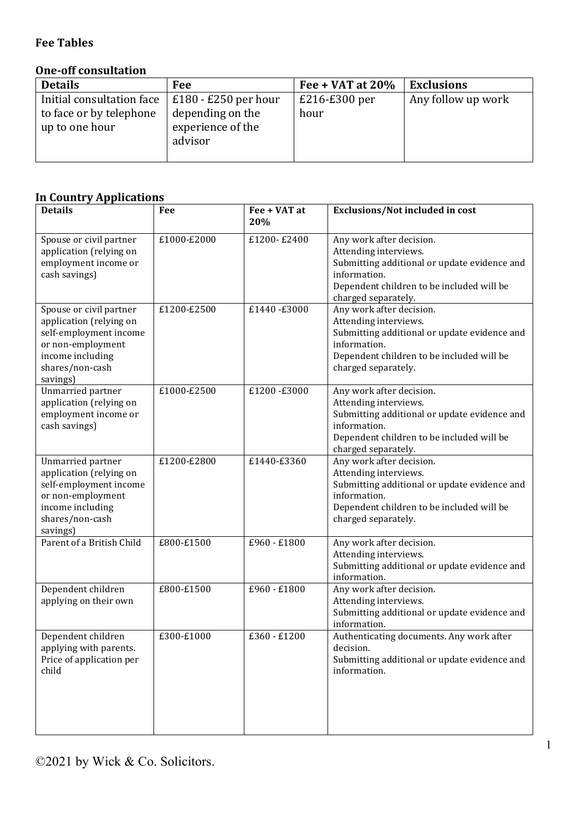#### **Fee Tables**

### **One-off consultation**

| <b>Details</b>                            | Fee                                              | Fee + VAT at $20\%$ | <b>Exclusions</b>  |
|-------------------------------------------|--------------------------------------------------|---------------------|--------------------|
| Initial consultation face                 | $£180 - £250$ per hour                           | $£216-E300$ per     | Any follow up work |
| to face or by telephone<br>up to one hour | depending on the<br>experience of the<br>advisor | hour                |                    |
|                                           |                                                  |                     |                    |

### **In Country Applications**

| <b>Details</b>                                                                                                                                       | Fee         | Fee + VAT at<br>20% | Exclusions/Not included in cost                                                                                                                                                       |
|------------------------------------------------------------------------------------------------------------------------------------------------------|-------------|---------------------|---------------------------------------------------------------------------------------------------------------------------------------------------------------------------------------|
| Spouse or civil partner<br>application (relying on<br>employment income or<br>cash savings)                                                          | £1000-£2000 | £1200-£2400         | Any work after decision.<br>Attending interviews.<br>Submitting additional or update evidence and<br>information.<br>Dependent children to be included will be<br>charged separately. |
| Spouse or civil partner<br>application (relying on<br>self-employment income<br>or non-employment<br>income including<br>shares/non-cash<br>savings) | £1200-£2500 | £1440-£3000         | Any work after decision.<br>Attending interviews.<br>Submitting additional or update evidence and<br>information.<br>Dependent children to be included will be<br>charged separately. |
| Unmarried partner<br>application (relying on<br>employment income or<br>cash savings)                                                                | £1000-£2500 | £1200-£3000         | Any work after decision.<br>Attending interviews.<br>Submitting additional or update evidence and<br>information.<br>Dependent children to be included will be<br>charged separately. |
| Unmarried partner<br>application (relying on<br>self-employment income<br>or non-employment<br>income including<br>shares/non-cash<br>savings)       | £1200-£2800 | £1440-£3360         | Any work after decision.<br>Attending interviews.<br>Submitting additional or update evidence and<br>information.<br>Dependent children to be included will be<br>charged separately. |
| Parent of a British Child                                                                                                                            | £800-£1500  | £960 - £1800        | Any work after decision.<br>Attending interviews.<br>Submitting additional or update evidence and<br>information.                                                                     |
| Dependent children<br>applying on their own                                                                                                          | £800-£1500  | £960 - £1800        | Any work after decision.<br>Attending interviews.<br>Submitting additional or update evidence and<br>information.                                                                     |
| Dependent children<br>applying with parents.<br>Price of application per<br>child                                                                    | £300-£1000  | £360 - £1200        | Authenticating documents. Any work after<br>decision.<br>Submitting additional or update evidence and<br>information.                                                                 |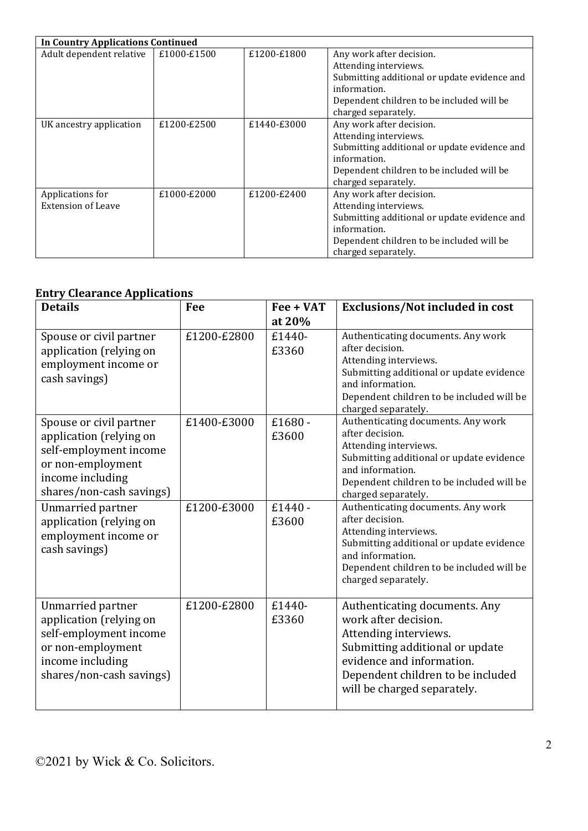| <b>In Country Applications Continued</b> |             |             |                                              |
|------------------------------------------|-------------|-------------|----------------------------------------------|
| Adult dependent relative                 | £1000-£1500 | £1200-£1800 | Any work after decision.                     |
|                                          |             |             | Attending interviews.                        |
|                                          |             |             | Submitting additional or update evidence and |
|                                          |             |             | information.                                 |
|                                          |             |             | Dependent children to be included will be    |
|                                          |             |             | charged separately.                          |
| UK ancestry application                  | £1200-£2500 | £1440-£3000 | Any work after decision.                     |
|                                          |             |             | Attending interviews.                        |
|                                          |             |             | Submitting additional or update evidence and |
|                                          |             |             | information.                                 |
|                                          |             |             | Dependent children to be included will be    |
|                                          |             |             | charged separately.                          |
| Applications for                         | £1000-£2000 | £1200-£2400 | Any work after decision.                     |
| <b>Extension of Leave</b>                |             |             | Attending interviews.                        |
|                                          |             |             | Submitting additional or update evidence and |
|                                          |             |             | information.                                 |
|                                          |             |             | Dependent children to be included will be    |
|                                          |             |             | charged separately.                          |

### **Entry Clearance Applications**

| <b>Details</b>                                                                                                                                    | Fee         | Fee + VAT<br>at 20% | Exclusions/Not included in cost                                                                                                                                                                                    |
|---------------------------------------------------------------------------------------------------------------------------------------------------|-------------|---------------------|--------------------------------------------------------------------------------------------------------------------------------------------------------------------------------------------------------------------|
| Spouse or civil partner<br>application (relying on<br>employment income or<br>cash savings)                                                       | £1200-£2800 | £1440-<br>£3360     | Authenticating documents. Any work<br>after decision.<br>Attending interviews.<br>Submitting additional or update evidence<br>and information.<br>Dependent children to be included will be<br>charged separately. |
| Spouse or civil partner<br>application (relying on<br>self-employment income<br>or non-employment<br>income including<br>shares/non-cash savings) | £1400-£3000 | $£1680 -$<br>£3600  | Authenticating documents. Any work<br>after decision.<br>Attending interviews.<br>Submitting additional or update evidence<br>and information.<br>Dependent children to be included will be<br>charged separately. |
| Unmarried partner<br>application (relying on<br>employment income or<br>cash savings)                                                             | £1200-£3000 | $£1440 -$<br>£3600  | Authenticating documents. Any work<br>after decision.<br>Attending interviews.<br>Submitting additional or update evidence<br>and information.<br>Dependent children to be included will be<br>charged separately. |
| Unmarried partner<br>application (relying on<br>self-employment income<br>or non-employment<br>income including<br>shares/non-cash savings)       | £1200-£2800 | £1440-<br>£3360     | Authenticating documents. Any<br>work after decision.<br>Attending interviews.<br>Submitting additional or update<br>evidence and information.<br>Dependent children to be included<br>will be charged separately. |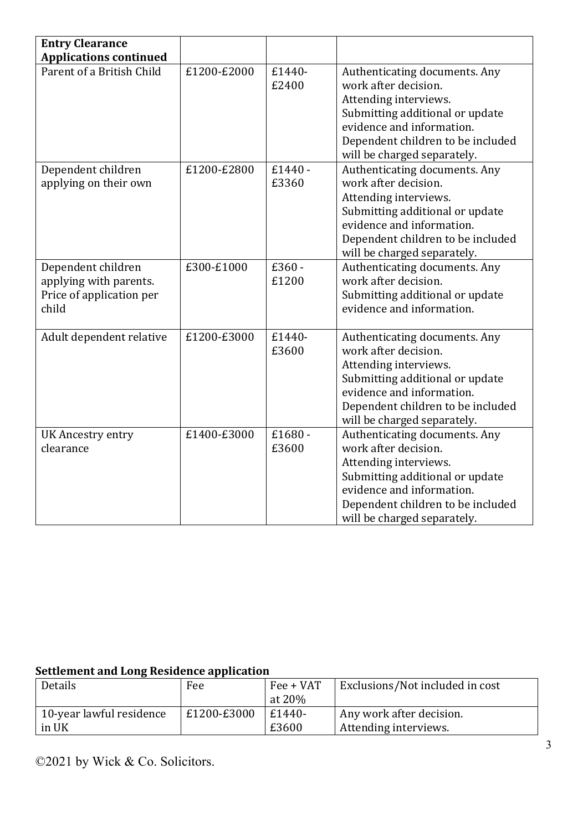| <b>Entry Clearance</b>        |             |         |                                   |
|-------------------------------|-------------|---------|-----------------------------------|
| <b>Applications continued</b> |             |         |                                   |
| Parent of a British Child     | £1200-£2000 | £1440-  | Authenticating documents. Any     |
|                               |             | £2400   | work after decision.              |
|                               |             |         | Attending interviews.             |
|                               |             |         | Submitting additional or update   |
|                               |             |         | evidence and information.         |
|                               |             |         | Dependent children to be included |
|                               |             |         | will be charged separately.       |
| Dependent children            | £1200-£2800 | £1440 - | Authenticating documents. Any     |
| applying on their own         |             | £3360   | work after decision.              |
|                               |             |         | Attending interviews.             |
|                               |             |         | Submitting additional or update   |
|                               |             |         | evidence and information.         |
|                               |             |         | Dependent children to be included |
|                               |             |         | will be charged separately.       |
| Dependent children            | £300-£1000  | £360-   | Authenticating documents. Any     |
| applying with parents.        |             | £1200   | work after decision.              |
| Price of application per      |             |         | Submitting additional or update   |
| child                         |             |         | evidence and information.         |
|                               |             |         |                                   |
| Adult dependent relative      | £1200-£3000 | £1440-  | Authenticating documents. Any     |
|                               |             | £3600   | work after decision.              |
|                               |             |         | Attending interviews.             |
|                               |             |         | Submitting additional or update   |
|                               |             |         | evidence and information.         |
|                               |             |         | Dependent children to be included |
|                               |             |         | will be charged separately.       |
| <b>UK Ancestry entry</b>      | £1400-£3000 | £1680-  | Authenticating documents. Any     |
| clearance                     |             | £3600   | work after decision.              |
|                               |             |         | Attending interviews.             |
|                               |             |         | Submitting additional or update   |
|                               |             |         | evidence and information.         |
|                               |             |         | Dependent children to be included |
|                               |             |         | will be charged separately.       |

# **<u>Settlement and Long Residence application</u>**

| Details                  | Fee         | Fee + VAT | Exclusions/Not included in cost |
|--------------------------|-------------|-----------|---------------------------------|
|                          |             | at $20\%$ |                                 |
| 10-year lawful residence | £1200-£3000 | £1440-    | Any work after decision.        |
| in UK                    |             | £3600     | Attending interviews.           |

©2021 by Wick & Co. Solicitors.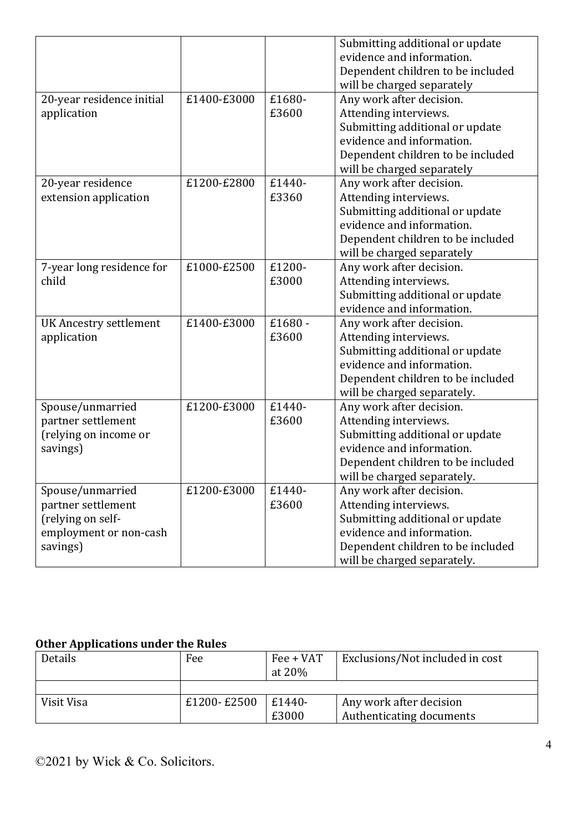|                               |             |        | Submitting additional or update   |
|-------------------------------|-------------|--------|-----------------------------------|
|                               |             |        | evidence and information.         |
|                               |             |        | Dependent children to be included |
|                               |             |        | will be charged separately        |
| 20-year residence initial     | £1400-£3000 | £1680- | Any work after decision.          |
| application                   |             | £3600  | Attending interviews.             |
|                               |             |        | Submitting additional or update   |
|                               |             |        | evidence and information.         |
|                               |             |        | Dependent children to be included |
|                               |             |        | will be charged separately        |
| 20-year residence             | £1200-£2800 | £1440- | Any work after decision.          |
| extension application         |             | £3360  | Attending interviews.             |
|                               |             |        | Submitting additional or update   |
|                               |             |        | evidence and information.         |
|                               |             |        | Dependent children to be included |
|                               |             |        | will be charged separately        |
| 7-year long residence for     | £1000-£2500 | £1200- | Any work after decision.          |
| child                         |             | £3000  | Attending interviews.             |
|                               |             |        | Submitting additional or update   |
|                               |             |        | evidence and information.         |
| <b>UK Ancestry settlement</b> | £1400-£3000 | £1680- | Any work after decision.          |
| application                   |             | £3600  | Attending interviews.             |
|                               |             |        | Submitting additional or update   |
|                               |             |        | evidence and information.         |
|                               |             |        | Dependent children to be included |
|                               |             |        | will be charged separately.       |
| Spouse/unmarried              | £1200-£3000 | £1440- | Any work after decision.          |
| partner settlement            |             | £3600  | Attending interviews.             |
| (relying on income or         |             |        | Submitting additional or update   |
| savings)                      |             |        | evidence and information.         |
|                               |             |        | Dependent children to be included |
|                               |             |        | will be charged separately.       |
| Spouse/unmarried              | £1200-£3000 | £1440- | Any work after decision.          |
| partner settlement            |             | £3600  | Attending interviews.             |
| (relying on self-             |             |        | Submitting additional or update   |
| employment or non-cash        |             |        | evidence and information.         |
| savings)                      |             |        | Dependent children to be included |
|                               |             |        | will be charged separately.       |

#### **Other Applications under the Rules**

| Details    | Fee         | Fee + VAT<br>at $20\%$ | Exclusions/Not included in cost |
|------------|-------------|------------------------|---------------------------------|
|            |             |                        |                                 |
| Visit Visa | £1200-£2500 | £1440-                 | Any work after decision         |
|            |             | £3000                  | Authenticating documents        |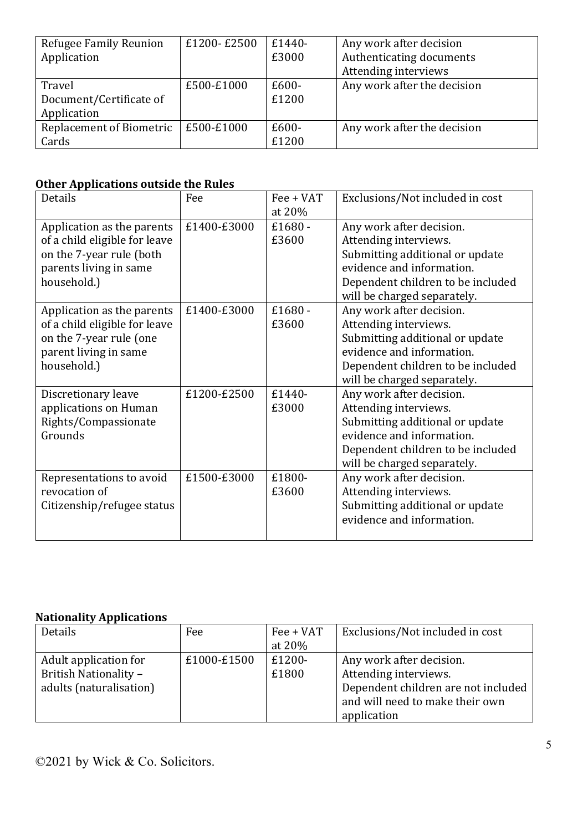| Refugee Family Reunion          | £1200-£2500 | $£1440-$ | Any work after decision     |
|---------------------------------|-------------|----------|-----------------------------|
| Application                     |             | £3000    | Authenticating documents    |
|                                 |             |          | Attending interviews        |
| Travel                          | £500-£1000  | $£600-$  | Any work after the decision |
| Document/Certificate of         |             | £1200    |                             |
| Application                     |             |          |                             |
| <b>Replacement of Biometric</b> | £500-£1000  | $£600-$  | Any work after the decision |
| Cards                           |             | £1200    |                             |

# **Other Applications outside the Rules**

| Details                                                                                                                          | Fee         | Fee + VAT<br>at 20% | Exclusions/Not included in cost                                                                                                                                                       |
|----------------------------------------------------------------------------------------------------------------------------------|-------------|---------------------|---------------------------------------------------------------------------------------------------------------------------------------------------------------------------------------|
| Application as the parents<br>of a child eligible for leave<br>on the 7-year rule (both<br>parents living in same<br>household.) | £1400-£3000 | £1680 -<br>£3600    | Any work after decision.<br>Attending interviews.<br>Submitting additional or update<br>evidence and information.<br>Dependent children to be included<br>will be charged separately. |
| Application as the parents<br>of a child eligible for leave<br>on the 7-year rule (one<br>parent living in same<br>household.)   | £1400-£3000 | £1680 -<br>£3600    | Any work after decision.<br>Attending interviews.<br>Submitting additional or update<br>evidence and information.<br>Dependent children to be included<br>will be charged separately. |
| Discretionary leave<br>applications on Human<br>Rights/Compassionate<br>Grounds                                                  | £1200-£2500 | £1440-<br>£3000     | Any work after decision.<br>Attending interviews.<br>Submitting additional or update<br>evidence and information.<br>Dependent children to be included<br>will be charged separately. |
| Representations to avoid<br>revocation of<br>Citizenship/refugee status                                                          | £1500-£3000 | £1800-<br>£3600     | Any work after decision.<br>Attending interviews.<br>Submitting additional or update<br>evidence and information.                                                                     |

#### **Nationality Applications**

| Details                 | Fee         | Fee + VAT | Exclusions/Not included in cost     |
|-------------------------|-------------|-----------|-------------------------------------|
|                         |             | at 20%    |                                     |
| Adult application for   | £1000-£1500 | £1200-    | Any work after decision.            |
| British Nationality -   |             | £1800     | Attending interviews.               |
| adults (naturalisation) |             |           | Dependent children are not included |
|                         |             |           | and will need to make their own     |
|                         |             |           | application                         |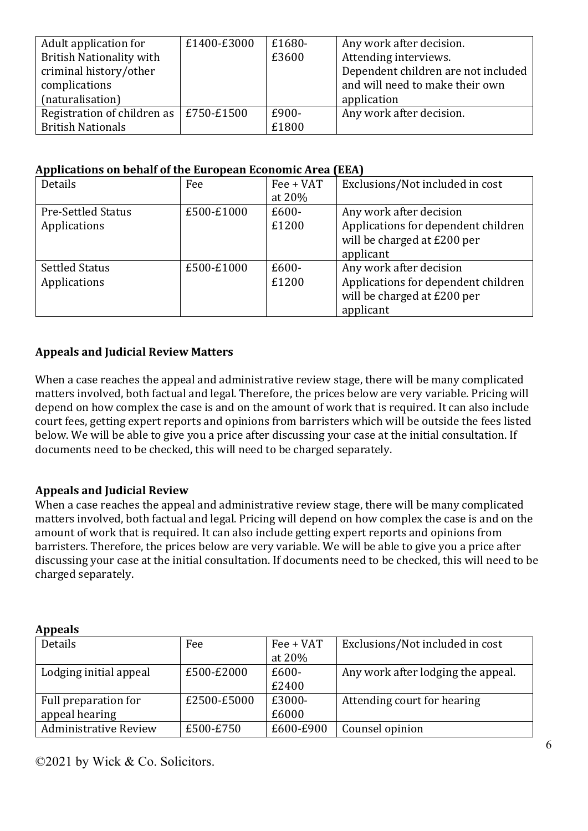| Adult application for                          | £1400-£3000 | £1680- | Any work after decision.            |
|------------------------------------------------|-------------|--------|-------------------------------------|
| <b>British Nationality with</b>                |             | £3600  | Attending interviews.               |
| criminal history/other                         |             |        | Dependent children are not included |
| complications                                  |             |        | and will need to make their own     |
| (naturalisation)                               |             |        | application                         |
| Registration of children as $\vert$ £750-£1500 |             | £900-  | Any work after decision.            |
| <b>British Nationals</b>                       |             | £1800  |                                     |

#### Applications on behalf of the European Economic Area (EEA)

| Details                   | Fee        | Fee + VAT | Exclusions/Not included in cost     |
|---------------------------|------------|-----------|-------------------------------------|
|                           |            | at 20%    |                                     |
| <b>Pre-Settled Status</b> | £500-£1000 | $£600-$   | Any work after decision             |
| Applications              |            | £1200     | Applications for dependent children |
|                           |            |           | will be charged at £200 per         |
|                           |            |           | applicant                           |
| <b>Settled Status</b>     | £500-£1000 | $£600-$   | Any work after decision             |
| Applications              |            | £1200     | Applications for dependent children |
|                           |            |           | will be charged at £200 per         |
|                           |            |           | applicant                           |

#### **Appeals and Judicial Review Matters**

When a case reaches the appeal and administrative review stage, there will be many complicated matters involved, both factual and legal. Therefore, the prices below are very variable. Pricing will depend on how complex the case is and on the amount of work that is required. It can also include court fees, getting expert reports and opinions from barristers which will be outside the fees listed below. We will be able to give you a price after discussing your case at the initial consultation. If documents need to be checked, this will need to be charged separately.

#### **Appeals and Judicial Review**

When a case reaches the appeal and administrative review stage, there will be many complicated matters involved, both factual and legal. Pricing will depend on how complex the case is and on the amount of work that is required. It can also include getting expert reports and opinions from barristers. Therefore, the prices below are very variable. We will be able to give you a price after discussing your case at the initial consultation. If documents need to be checked, this will need to be charged separately.

| пррсию                       |             |           |                                    |
|------------------------------|-------------|-----------|------------------------------------|
| Details                      | Fee         | Fee + VAT | Exclusions/Not included in cost    |
|                              |             | at 20%    |                                    |
| Lodging initial appeal       | £500-£2000  | £600-     | Any work after lodging the appeal. |
|                              |             | £2400     |                                    |
| Full preparation for         | £2500-£5000 | £3000-    | Attending court for hearing        |
| appeal hearing               |             | £6000     |                                    |
| <b>Administrative Review</b> | £500-£750   | £600-£900 | Counsel opinion                    |

#### **Appeals**